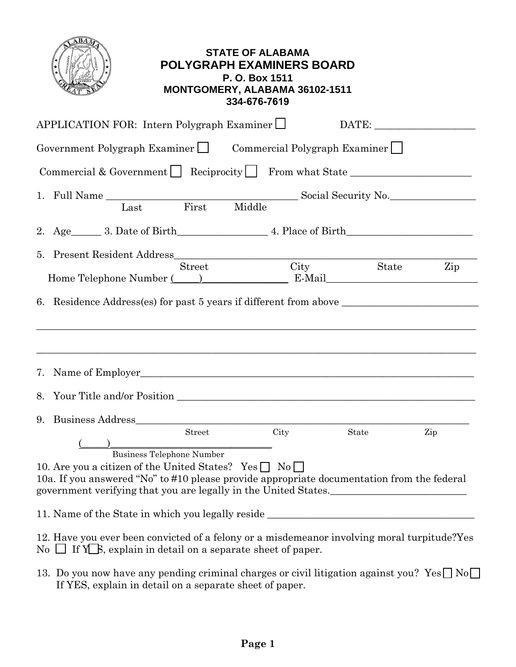|                                                                                                                                                                                                                                                                                                 | <b>STATE OF ALABAMA</b><br><b>POLYGRAPH EXAMINERS BOARD</b><br>P. O. Box 1511<br>MONTGOMERY, ALABAMA 36102-1511<br>334-676-7619 |               |     |
|-------------------------------------------------------------------------------------------------------------------------------------------------------------------------------------------------------------------------------------------------------------------------------------------------|---------------------------------------------------------------------------------------------------------------------------------|---------------|-----|
| APPLICATION FOR: Intern Polygraph Examiner $\Box$                                                                                                                                                                                                                                               |                                                                                                                                 | DATE:         |     |
| Government Polygraph Examiner   Commercial Polygraph Examiner                                                                                                                                                                                                                                   |                                                                                                                                 |               |     |
| Commercial & Government $\Box$ Reciprocity $\Box$ From what State $\Box$                                                                                                                                                                                                                        |                                                                                                                                 |               |     |
| 1. Full Name Last First Middle Social Security No.                                                                                                                                                                                                                                              |                                                                                                                                 |               |     |
| 2. Age 3. Date of Birth 4. Place of Birth                                                                                                                                                                                                                                                       |                                                                                                                                 |               |     |
| <b>Street</b><br>Home Telephone Number (Campber 2014) E-Mail E-Mail<br>,我们也不能在这里的时候,我们也不能在这里的时候,我们也不能不能不能不能不能不能不能不能不能不能不能不能不能不能不能。""我们的是我们的,我们也不能不能不能不能                                                                                                                                         |                                                                                                                                 | City<br>State | Zip |
| 7. Name of Employer                                                                                                                                                                                                                                                                             |                                                                                                                                 |               |     |
| 9. Business Address <b>Executive Services Business</b> Address <b>Business</b> Address <b>Business</b>                                                                                                                                                                                          |                                                                                                                                 |               |     |
| Street<br>)<br>Business Telephone Number<br>10. Are you a citizen of the United States? Yes $\Box$ No $\Box$<br>10a. If you answered "No" to #10 please provide appropriate documentation from the federal<br>government verifying that you are legally in the United States.__________________ | City                                                                                                                            | State         | Zip |
| 11. Name of the State in which you legally reside ______________________________                                                                                                                                                                                                                |                                                                                                                                 |               |     |
| 12. Have you ever been convicted of a felony or a misdemeanor involving moral turpitude? Yes<br>No $\Box$ If Y $\Box$ , explain in detail on a separate sheet of paper.<br>13 Do vou now have any pending criminal charges or civil litigation against vou? $V_{\alpha} \Box N_{\alpha}$        |                                                                                                                                 |               |     |

13. Do you now have any pending criminal charges or civil litigation against you?  $Yes \Box No$ If YES, explain in detail on a separate sheet of paper.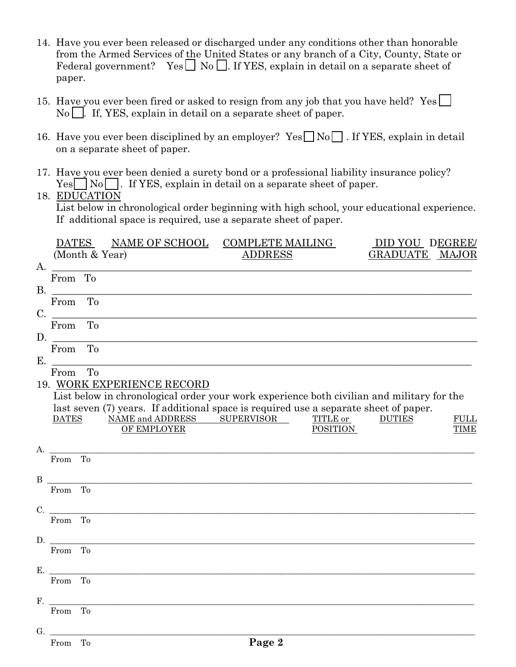- 14. Have you ever been released or discharged under any conditions other than honorable from the Armed Services of the United States or any branch of a City, County, State or Federal government? Yes  $\Box$  No  $\Box$ . If YES, explain in detail on a separate sheet of paper.
- 15. Have you ever been fired or asked to resign from any job that you have held? Yes  $\Box$  $\text{No}$  . If, YES, explain in detail on a separate sheet of paper.
- 16. Have you ever been disciplined by an employer?  $Yes \Box No \Box$ . If YES, explain in detail on a separate sheet of paper.
- 17. Have you ever been denied a surety bond or a professional liability insurance policy?  $Yes \nightharpoonup No \nightharpoonup$ . If YES, explain in detail on a separate sheet of paper.

## 18. EDUCATION

List below in chronological order beginning with high school, your educational experience. If additional space is required, use a separate sheet of paper.

|    |              |    | DATES NAME OF SCHOOL                                                                                                | <b>COMPLETE MAILING</b> |                 | DID YOU DEGREE/ |             |
|----|--------------|----|---------------------------------------------------------------------------------------------------------------------|-------------------------|-----------------|-----------------|-------------|
|    |              |    | (Month & Year)                                                                                                      | <b>ADDRESS</b>          |                 | GRADUATE MAJOR  |             |
| A. |              |    |                                                                                                                     |                         |                 |                 |             |
|    | From To      |    |                                                                                                                     |                         |                 |                 |             |
|    | B.           |    |                                                                                                                     |                         |                 |                 |             |
|    | From To      |    |                                                                                                                     |                         |                 |                 |             |
|    | C.           |    |                                                                                                                     |                         |                 |                 |             |
|    | From To      |    |                                                                                                                     |                         |                 |                 |             |
| D. |              |    |                                                                                                                     |                         |                 |                 |             |
|    | From         | To |                                                                                                                     |                         |                 |                 |             |
| Ε. |              |    |                                                                                                                     |                         |                 |                 |             |
|    | From To      |    |                                                                                                                     |                         |                 |                 |             |
|    |              |    | 19. WORK EXPERIENCE RECORD                                                                                          |                         |                 |                 |             |
|    |              |    | List below in chronological order your work experience both civilian and military for the                           |                         |                 |                 |             |
|    | <b>DATES</b> |    | last seven (7) years. If additional space is required use a separate sheet of paper.<br>NAME and ADDRESS SUPERVISOR |                         | TITLE or        | <b>DUTIES</b>   | <b>FULL</b> |
|    |              |    | <b>OF EMPLOYER</b>                                                                                                  |                         | <b>POSITION</b> |                 | <b>TIME</b> |
|    |              |    |                                                                                                                     |                         |                 |                 |             |
|    |              |    | A.                                                                                                                  |                         |                 |                 |             |
|    | From To      |    |                                                                                                                     |                         |                 |                 |             |
|    |              |    |                                                                                                                     |                         |                 |                 |             |
|    | From To      |    |                                                                                                                     |                         |                 |                 |             |
|    |              |    |                                                                                                                     |                         |                 |                 |             |
|    | C.           |    |                                                                                                                     |                         |                 |                 |             |
|    | From To      |    |                                                                                                                     |                         |                 |                 |             |
|    | D.           |    |                                                                                                                     |                         |                 |                 |             |
|    | From To      |    |                                                                                                                     |                         |                 |                 |             |
|    |              |    |                                                                                                                     |                         |                 |                 |             |
|    | E.           |    |                                                                                                                     |                         |                 |                 |             |
|    | From To      |    |                                                                                                                     |                         |                 |                 |             |
|    |              |    |                                                                                                                     |                         |                 |                 |             |
|    | From To      |    |                                                                                                                     |                         |                 |                 |             |
|    |              |    |                                                                                                                     |                         |                 |                 |             |
|    | G.           |    |                                                                                                                     |                         |                 |                 |             |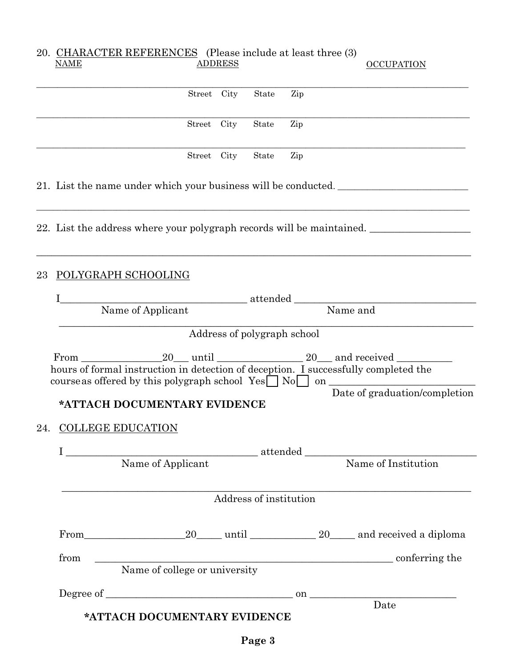|    | 20. CHARACTER REFERENCES (Please include at least three (3)<br><b>NAME</b> |             | <b>ADDRESS</b> |                   |                             | <b>OCCUPATION</b>                                                                                                                                                                                                |
|----|----------------------------------------------------------------------------|-------------|----------------|-------------------|-----------------------------|------------------------------------------------------------------------------------------------------------------------------------------------------------------------------------------------------------------|
|    |                                                                            |             |                |                   |                             |                                                                                                                                                                                                                  |
|    |                                                                            | Street City |                | State             | Zip                         |                                                                                                                                                                                                                  |
|    |                                                                            |             |                | Street City State | Zip                         |                                                                                                                                                                                                                  |
|    |                                                                            | Street City |                | State             | Zip                         |                                                                                                                                                                                                                  |
|    |                                                                            |             |                |                   |                             | 21. List the name under which your business will be conducted.                                                                                                                                                   |
|    |                                                                            |             |                |                   |                             | ,我们也不能在这里的人,我们也不能在这里的人,我们也不能在这里的人,我们也不能在这里的人,我们也不能在这里的人,我们也不能在这里的人,我们也不能在这里的人,我们也<br>22. List the address where your polygraph records will be maintained.                                                       |
| 23 | POLYGRAPH SCHOOLING                                                        |             |                |                   |                             |                                                                                                                                                                                                                  |
|    |                                                                            |             |                |                   |                             | Name of Applicant attended Name and                                                                                                                                                                              |
|    |                                                                            |             |                |                   |                             |                                                                                                                                                                                                                  |
|    |                                                                            |             |                |                   | Address of polygraph school |                                                                                                                                                                                                                  |
|    | *ATTACH DOCUMENTARY EVIDENCE                                               |             |                |                   |                             | course as offered by this polygraph school $Yes \cup No \cup on$<br>Date of graduation/completion                                                                                                                |
|    | 24. COLLEGE EDUCATION                                                      |             |                |                   |                             |                                                                                                                                                                                                                  |
|    |                                                                            |             |                |                   |                             |                                                                                                                                                                                                                  |
|    |                                                                            |             |                |                   |                             |                                                                                                                                                                                                                  |
|    | Address of institution                                                     |             |                |                   |                             |                                                                                                                                                                                                                  |
|    |                                                                            |             |                |                   |                             | From 20 until 20 and received a diploma                                                                                                                                                                          |
|    | from                                                                       |             |                |                   |                             | $\begin{tabular}{c} \hline \textbf{Name of college or university} \end{tabular} \begin{tabular}{c} \textbf{Comferring the} \end{tabular}$                                                                        |
|    |                                                                            |             |                |                   |                             |                                                                                                                                                                                                                  |
|    |                                                                            |             |                |                   |                             | $\begin{minipage}{.4\linewidth} \textbf{Degree of } \begin{tabular}{l} \textbf{0} & \textbf{0} \\ \textbf{0} & \textbf{0} \\ \textbf{0} & \textbf{0} \\ \textbf{0} & \textbf{0} \\ \end{tabular} \end{minipage}$ |
|    |                                                                            |             |                |                   |                             |                                                                                                                                                                                                                  |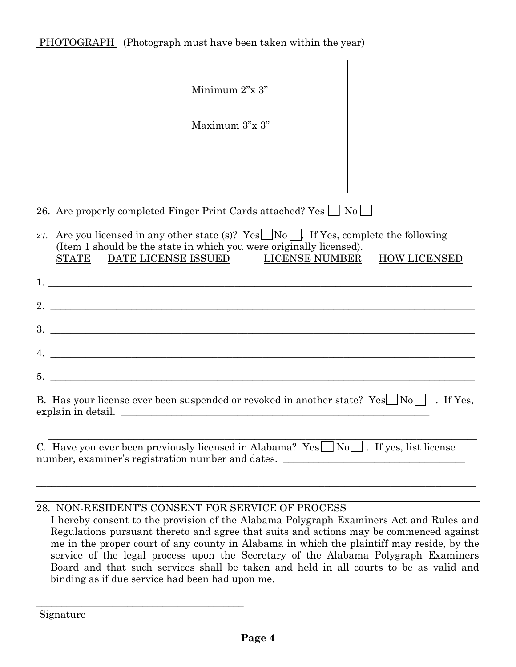PHOTOGRAPH (Photograph must have been taken within the year)

|                               | Minimum 2"x 3"                                                                                                                                                                                     |                     |
|-------------------------------|----------------------------------------------------------------------------------------------------------------------------------------------------------------------------------------------------|---------------------|
|                               | Maximum 3"x 3"                                                                                                                                                                                     |                     |
|                               |                                                                                                                                                                                                    |                     |
|                               |                                                                                                                                                                                                    |                     |
|                               | 26. Are properly completed Finger Print Cards attached? Yes $\Box$ No $\Box$                                                                                                                       |                     |
| STATE DATE LICENSE ISSUED     | 27. Are you licensed in any other state (s)? Yes $\Box$ No $\Box$ . If Yes, complete the following<br>(Item 1 should be the state in which you were originally licensed).<br><b>LICENSE NUMBER</b> | <b>HOW LICENSED</b> |
|                               |                                                                                                                                                                                                    |                     |
| $2.$ $\overline{\phantom{a}}$ |                                                                                                                                                                                                    |                     |
|                               |                                                                                                                                                                                                    |                     |
|                               | 4.                                                                                                                                                                                                 |                     |
|                               |                                                                                                                                                                                                    |                     |
|                               | B. Has your license ever been suspended or revoked in another state? Yes $\Box$ No $\Box$ . If Yes,<br>explain in detail.                                                                          |                     |
|                               | C. Have you ever been previously licensed in Alabama? Yes $\Box$ No $\Box$ . If yes, list license<br>number, examiner's registration number and dates. ______________________________              |                     |

## 28. NON-RESIDENT'S CONSENT FOR SERVICE OF PROCESS

\_\_\_\_\_\_\_\_\_\_\_\_\_\_\_\_\_\_\_\_\_\_\_\_\_\_\_\_\_\_\_\_\_\_\_\_\_\_\_\_\_

I hereby consent to the provision of the Alabama Polygraph Examiners Act and Rules and Regulations pursuant thereto and agree that suits and actions may be commenced against me in the proper court of any county in Alabama in which the plaintiff may reside, by the service of the legal process upon the Secretary of the Alabama Polygraph Examiners Board and that such services shall be taken and held in all courts to be as valid and binding as if due service had been had upon me.

Signature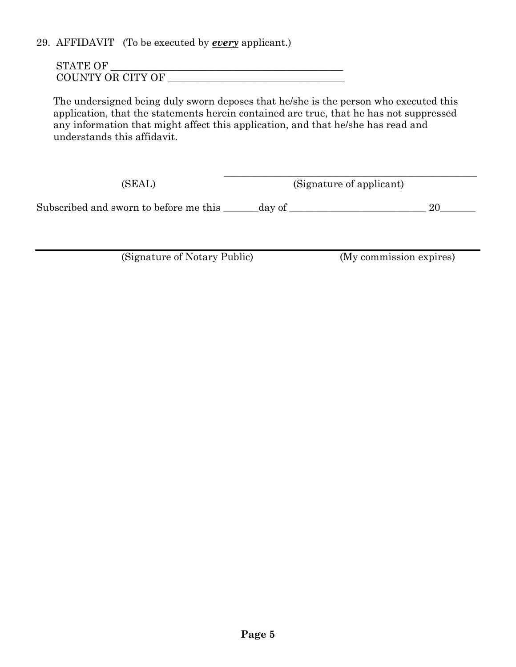29. AFFIDAVIT (To be executed by *every* applicant.)

| <b>STATE OF</b>   |  |
|-------------------|--|
| COUNTY OR CITY OF |  |

The undersigned being duly sworn deposes that he/she is the person who executed this application, that the statements herein contained are true, that he has not suppressed any information that might affect this application, and that he/she has read and understands this affidavit.

 $\overline{\phantom{a}}$  , which is a set of the set of the set of the set of the set of the set of the set of the set of the set of the set of the set of the set of the set of the set of the set of the set of the set of the set of th (SEAL) (Signature of applicant)

Subscribed and sworn to before me this \_\_\_\_\_\_\_day of \_\_\_\_\_\_\_\_\_\_\_\_\_\_\_\_\_\_\_\_\_\_\_\_\_\_\_ 20\_\_\_\_\_\_\_

(Signature of Notary Public) (My commission expires)